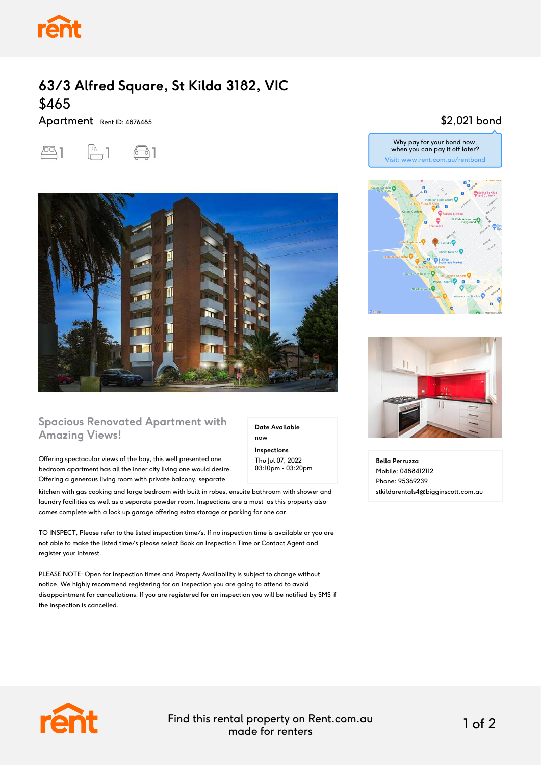

## **63/3 Alfred Square, St Kilda 3182, VIC** \$465

Apartment Rent ID: 4876485





#### **Spacious Renovated Apartment with Amazing Views!**

Offering spectacular views of the bay, this well presented one bedroom apartment has all the inner city living one would desire. Offering a generous living room with private balcony, separate

kitchen with gas cooking and large bedroom with built in robes, ensuite bathroom with shower and laundry facilities as well as a separate powder room. Inspections are a must as this property also comes complete with a lock up garage offering extra storage or parking for one car.

TO INSPECT, Please refer to the listed inspection time/s. If no inspection time is available or you are not able to make the listed time/s please select Book an Inspection Time or Contact Agent and register your interest.

PLEASE NOTE: Open for Inspection times and Property Availability is subject to change without notice. We highly recommend registering for an inspection you are going to attend to avoid disappointment for cancellations. If you are registered for an inspection you will be notified by SMS if the inspection is cancelled.

#### \$2,021 bond







**Bella Perruzza** Mobile: 0488412112 Phone: 95369239 stkildarentals4@bigginscott.com.au



Find this rental property on Rent.com.au made for renters 1 of 2

**Date Available**

now **Inspections** Thu Jul 07, 2022 03:10pm - 03:20pm